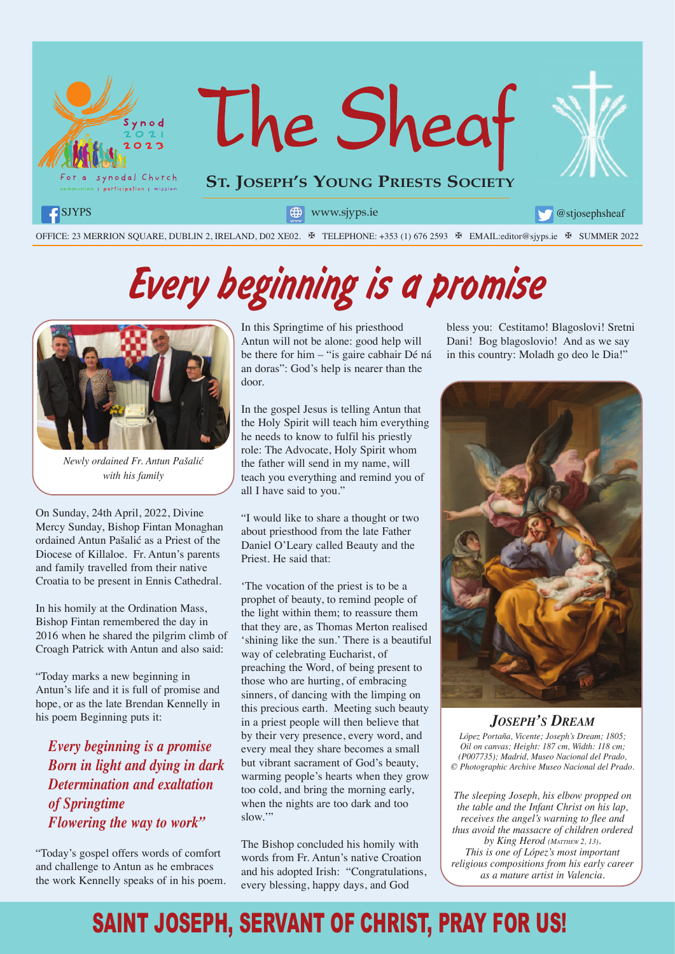

# *Every beginning is a promise*



*Newly ordained Fr. Antun Pašalić with his family*

On Sunday, 24th April, 2022, Divine Mercy Sunday, Bishop Fintan Monaghan ordained Antun Pašalić as a Priest of the Diocese of Killaloe. Fr. Antun's parents and family travelled from their native Croatia to be present in Ennis Cathedral.

In his homily at the Ordination Mass, Bishop Fintan remembered the day in 2016 when he shared the pilgrim climb of Croagh Patrick with Antun and also said:

"Today marks a new beginning in Antun's life and it is full of promise and hope, or as the late Brendan Kennelly in his poem Beginning puts it:

*Every beginning is a promise Born in light and dying in dark Determination and exaltation of Springtime Flowering the way to work"*

"Today's gospel offers words of comfort and challenge to Antun as he embraces the work Kennelly speaks of in his poem. In this Springtime of his priesthood Antun will not be alone: good help will be there for him – "is gaire cabhair Dé ná an doras": God's help is nearer than the door.

In the gospel Jesus is telling Antun that the Holy Spirit will teach him everything he needs to know to fulfil his priestly role: The Advocate, Holy Spirit whom the father will send in my name, will teach you everything and remind you of all I have said to you."

"I would like to share a thought or two about priesthood from the late Father Daniel O'Leary called Beauty and the Priest. He said that:

'The vocation of the priest is to be a prophet of beauty, to remind people of the light within them; to reassure them that they are, as Thomas Merton realised 'shining like the sun.' There is a beautiful way of celebrating Eucharist, of preaching the Word, of being present to those who are hurting, of embracing sinners, of dancing with the limping on this precious earth. Meeting such beauty in a priest people will then believe that by their very presence, every word, and every meal they share becomes a small but vibrant sacrament of God's beauty, warming people's hearts when they grow too cold, and bring the morning early, when the nights are too dark and too slow."

The Bishop concluded his homily with words from Fr. Antun's native Croation and his adopted Irish: "Congratulations, every blessing, happy days, and God

bless you: Cestitamo! Blagoslovi! Sretni Dani! Bog blagoslovio! And as we say in this country: Moladh go deo le Dia!"



*JOSEPH'S DREAM López Portaña, Vicente; Joseph's Dream; 1805; Oil on canvas; Height: 187 cm, Width: 118 cm; (P007735); Madrid, Museo Nacional del Prado,* 

*© Photographic Archive Museo Nacional del Prado.*

*The sleeping Joseph, his elbow propped on the table and the Infant Christ on his lap, receives the angel's warning to flee and thus avoid the massacre of children ordered by King Herod (MATTHEW 2, 13). This is one of López's most important religious compositions from his early career as a mature artist in Valencia.* 

### SAINT JOSEPH, SERVANT OF CHRIST, PRAY FOR US!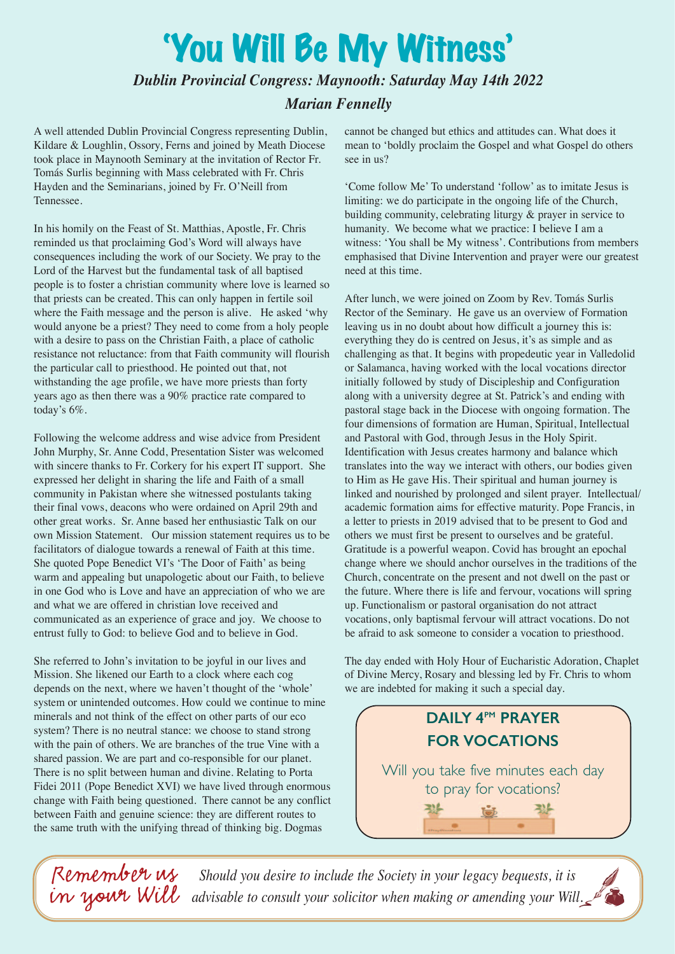## 'You Will Be My Witness'

#### *Dublin Provincial Congress: Maynooth: Saturday May 14th 2022*

### *Marian Fennelly*

A well attended Dublin Provincial Congress representing Dublin, Kildare & Loughlin, Ossory, Ferns and joined by Meath Diocese took place in Maynooth Seminary at the invitation of Rector Fr. Tomás Surlis beginning with Mass celebrated with Fr. Chris Hayden and the Seminarians, joined by Fr. O'Neill from Tennessee.

In his homily on the Feast of St. Matthias, Apostle, Fr. Chris reminded us that proclaiming God's Word will always have consequences including the work of our Society. We pray to the Lord of the Harvest but the fundamental task of all baptised people is to foster a christian community where love is learned so that priests can be created. This can only happen in fertile soil where the Faith message and the person is alive. He asked 'why would anyone be a priest? They need to come from a holy people with a desire to pass on the Christian Faith, a place of catholic resistance not reluctance: from that Faith community will flourish the particular call to priesthood. He pointed out that, not withstanding the age profile, we have more priests than forty years ago as then there was a 90% practice rate compared to today's 6%.

Following the welcome address and wise advice from President John Murphy, Sr. Anne Codd, Presentation Sister was welcomed with sincere thanks to Fr. Corkery for his expert IT support. She expressed her delight in sharing the life and Faith of a small community in Pakistan where she witnessed postulants taking their final vows, deacons who were ordained on April 29th and other great works. Sr. Anne based her enthusiastic Talk on our own Mission Statement. Our mission statement requires us to be facilitators of dialogue towards a renewal of Faith at this time. She quoted Pope Benedict VI's 'The Door of Faith' as being warm and appealing but unapologetic about our Faith, to believe in one God who is Love and have an appreciation of who we are and what we are offered in christian love received and communicated as an experience of grace and joy. We choose to entrust fully to God: to believe God and to believe in God.

She referred to John's invitation to be joyful in our lives and Mission. She likened our Earth to a clock where each cog depends on the next, where we haven't thought of the 'whole' system or unintended outcomes. How could we continue to mine minerals and not think of the effect on other parts of our eco system? There is no neutral stance: we choose to stand strong with the pain of others. We are branches of the true Vine with a shared passion. We are part and co-responsible for our planet. There is no split between human and divine. Relating to Porta Fidei 2011 (Pope Benedict XVI) we have lived through enormous change with Faith being questioned. There cannot be any conflict between Faith and genuine science: they are different routes to the same truth with the unifying thread of thinking big. Dogmas

cannot be changed but ethics and attitudes can. What does it mean to 'boldly proclaim the Gospel and what Gospel do others see in us?

'Come follow Me' To understand 'follow' as to imitate Jesus is limiting: we do participate in the ongoing life of the Church, building community, celebrating liturgy & prayer in service to humanity. We become what we practice: I believe I am a witness: 'You shall be My witness'. Contributions from members emphasised that Divine Intervention and prayer were our greatest need at this time.

After lunch, we were joined on Zoom by Rev. Tomás Surlis Rector of the Seminary. He gave us an overview of Formation leaving us in no doubt about how difficult a journey this is: everything they do is centred on Jesus, it's as simple and as challenging as that. It begins with propedeutic year in Valledolid or Salamanca, having worked with the local vocations director initially followed by study of Discipleship and Configuration along with a university degree at St. Patrick's and ending with pastoral stage back in the Diocese with ongoing formation. The four dimensions of formation are Human, Spiritual, Intellectual and Pastoral with God, through Jesus in the Holy Spirit. Identification with Jesus creates harmony and balance which translates into the way we interact with others, our bodies given to Him as He gave His. Their spiritual and human journey is linked and nourished by prolonged and silent prayer. Intellectual/ academic formation aims for effective maturity. Pope Francis, in a letter to priests in 2019 advised that to be present to God and others we must first be present to ourselves and be grateful. Gratitude is a powerful weapon. Covid has brought an epochal change where we should anchor ourselves in the traditions of the Church, concentrate on the present and not dwell on the past or the future. Where there is life and fervour, vocations will spring up. Functionalism or pastoral organisation do not attract vocations, only baptismal fervour will attract vocations. Do not be afraid to ask someone to consider a vocation to priesthood.

The day ended with Holy Hour of Eucharistic Adoration, Chaplet of Divine Mercy, Rosary and blessing led by Fr. Chris to whom we are indebted for making it such a special day.



*Should you desire to include the Society in your legacy bequests, it is advisable to consult your solicitor when making or amending your Will. Remember us in your Will*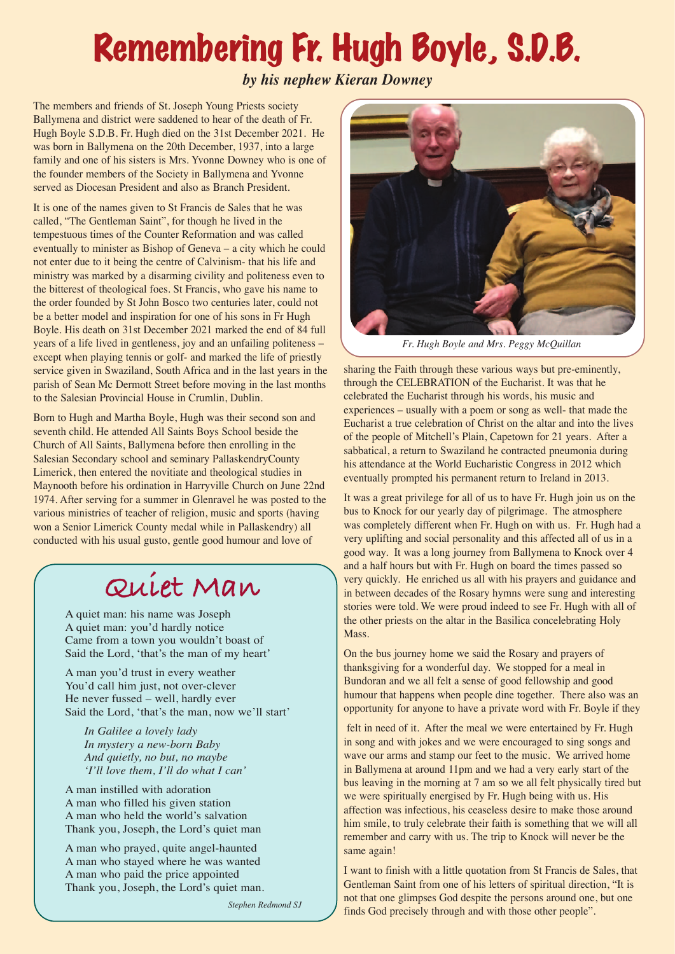## Remembering Fr. Hugh Boyle, S.D.B.

*by his nephew Kieran Downey*

The members and friends of St. Joseph Young Priests society Ballymena and district were saddened to hear of the death of Fr. Hugh Boyle S.D.B. Fr. Hugh died on the 31st December 2021. He was born in Ballymena on the 20th December, 1937, into a large family and one of his sisters is Mrs. Yvonne Downey who is one of the founder members of the Society in Ballymena and Yvonne served as Diocesan President and also as Branch President.

It is one of the names given to St Francis de Sales that he was called, "The Gentleman Saint", for though he lived in the tempestuous times of the Counter Reformation and was called eventually to minister as Bishop of Geneva – a city which he could not enter due to it being the centre of Calvinism- that his life and ministry was marked by a disarming civility and politeness even to the bitterest of theological foes. St Francis, who gave his name to the order founded by St John Bosco two centuries later, could not be a better model and inspiration for one of his sons in Fr Hugh Boyle. His death on 31st December 2021 marked the end of 84 full years of a life lived in gentleness, joy and an unfailing politeness – except when playing tennis or golf- and marked the life of priestly service given in Swaziland, South Africa and in the last years in the parish of Sean Mc Dermott Street before moving in the last months to the Salesian Provincial House in Crumlin, Dublin.

Born to Hugh and Martha Boyle, Hugh was their second son and seventh child. He attended All Saints Boys School beside the Church of All Saints, Ballymena before then enrolling in the Salesian Secondary school and seminary PallaskendryCounty Limerick, then entered the novitiate and theological studies in Maynooth before his ordination in Harryville Church on June 22nd 1974. After serving for a summer in Glenravel he was posted to the various ministries of teacher of religion, music and sports (having won a Senior Limerick County medal while in Pallaskendry) all conducted with his usual gusto, gentle good humour and love of

## **Quiet Man**

A quiet man: his name was Joseph A quiet man: you'd hardly notice Came from a town you wouldn't boast of Said the Lord, 'that's the man of my heart'

A man you'd trust in every weather You'd call him just, not over-clever He never fussed – well, hardly ever Said the Lord, 'that's the man, now we'll start'

*In Galilee a lovely lady In mystery a new-born Baby And quietly, no but, no maybe 'I'll love them, I'll do what I can'*

A man instilled with adoration A man who filled his given station A man who held the world's salvation Thank you, Joseph, the Lord's quiet man

A man who prayed, quite angel-haunted A man who stayed where he was wanted A man who paid the price appointed Thank you, Joseph, the Lord's quiet man.

 *Stephen Redmond SJ*



*Fr. Hugh Boyle and Mrs. Peggy McQuillan*

sharing the Faith through these various ways but pre-eminently, through the CELEBRATION of the Eucharist. It was that he celebrated the Eucharist through his words, his music and experiences – usually with a poem or song as well- that made the Eucharist a true celebration of Christ on the altar and into the lives of the people of Mitchell's Plain, Capetown for 21 years. After a sabbatical, a return to Swaziland he contracted pneumonia during his attendance at the World Eucharistic Congress in 2012 which eventually prompted his permanent return to Ireland in 2013.

It was a great privilege for all of us to have Fr. Hugh join us on the bus to Knock for our yearly day of pilgrimage. The atmosphere was completely different when Fr. Hugh on with us. Fr. Hugh had a very uplifting and social personality and this affected all of us in a good way. It was a long journey from Ballymena to Knock over 4 and a half hours but with Fr. Hugh on board the times passed so very quickly. He enriched us all with his prayers and guidance and in between decades of the Rosary hymns were sung and interesting stories were told. We were proud indeed to see Fr. Hugh with all of the other priests on the altar in the Basilica concelebrating Holy Mass.

On the bus journey home we said the Rosary and prayers of thanksgiving for a wonderful day. We stopped for a meal in Bundoran and we all felt a sense of good fellowship and good humour that happens when people dine together. There also was an opportunity for anyone to have a private word with Fr. Boyle if they

 felt in need of it. After the meal we were entertained by Fr. Hugh in song and with jokes and we were encouraged to sing songs and wave our arms and stamp our feet to the music. We arrived home in Ballymena at around 11pm and we had a very early start of the bus leaving in the morning at 7 am so we all felt physically tired but we were spiritually energised by Fr. Hugh being with us. His affection was infectious, his ceaseless desire to make those around him smile, to truly celebrate their faith is something that we will all remember and carry with us. The trip to Knock will never be the same again!

I want to finish with a little quotation from St Francis de Sales, that Gentleman Saint from one of his letters of spiritual direction, "It is not that one glimpses God despite the persons around one, but one finds God precisely through and with those other people".